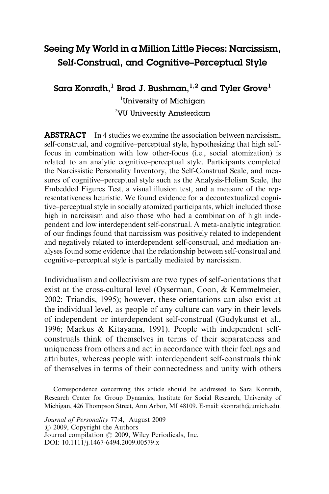# Seeing My World in  $\alpha$  Million Little Pieces: Narcissism, Self-Construal, and Cognitive–Perceptual Style

Sara Konrath,<sup>1</sup> Brad J. Bushman,<sup>1,2</sup> and Tyler Grove<sup>1</sup>  $^{\rm l}$ University of Michigan  $^{2}$ VU University Amsterdam

**ABSTRACT** In 4 studies we examine the association between narcissism, self-construal, and cognitive–perceptual style, hypothesizing that high selffocus in combination with low other-focus (i.e., social atomization) is related to an analytic cognitive–perceptual style. Participants completed the Narcissistic Personality Inventory, the Self-Construal Scale, and measures of cognitive–perceptual style such as the Analysis-Holism Scale, the Embedded Figures Test, a visual illusion test, and a measure of the representativeness heuristic. We found evidence for a decontextualized cognitive–perceptual style in socially atomized participants, which included those high in narcissism and also those who had a combination of high independent and low interdependent self-construal. A meta-analytic integration of our findings found that narcissism was positively related to independent and negatively related to interdependent self-construal, and mediation analyses found some evidence that the relationship between self-construal and cognitive–perceptual style is partially mediated by narcissism.

Individualism and collectivism are two types of self-orientations that exist at the cross-cultural level (Oyserman, Coon, & Kemmelmeier, 2002; Triandis, 1995); however, these orientations can also exist at the individual level, as people of any culture can vary in their levels of independent or interdependent self-construal (Gudykunst et al., 1996; Markus & Kitayama, 1991). People with independent selfconstruals think of themselves in terms of their separateness and uniqueness from others and act in accordance with their feelings and attributes, whereas people with interdependent self-construals think of themselves in terms of their connectedness and unity with others

Correspondence concerning this article should be addressed to Sara Konrath, Research Center for Group Dynamics, Institute for Social Research, University of Michigan, 426 Thompson Street, Ann Arbor, MI 48109. E-mail: [skonrath@umich.edu.](i:/BWUS/JOPY/579/skonrath@umich.edu)

Journal of Personality 77:4, August 2009  $\odot$  2009, Copyright the Authors Journal compilation  $\odot$  2009, Wiley Periodicals, Inc. DOI: 10.1111/j.1467-6494.2009.00579.x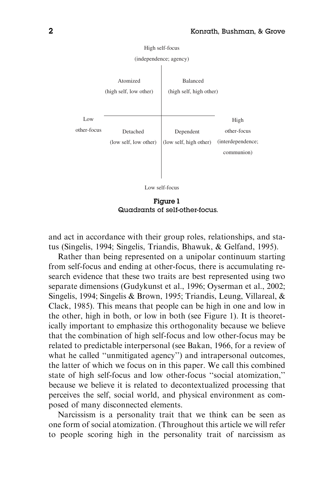

Figure 1 Quadrants of self-other-focus.

and act in accordance with their group roles, relationships, and status (Singelis, 1994; Singelis, Triandis, Bhawuk, & Gelfand, 1995).

Rather than being represented on a unipolar continuum starting from self-focus and ending at other-focus, there is accumulating research evidence that these two traits are best represented using two separate dimensions (Gudykunst et al., 1996; Oyserman et al., 2002; Singelis, 1994; Singelis & Brown, 1995; Triandis, Leung, Villareal, & Clack, 1985). This means that people can be high in one and low in the other, high in both, or low in both (see Figure 1). It is theoretically important to emphasize this orthogonality because we believe that the combination of high self-focus and low other-focus may be related to predictable interpersonal (see Bakan, 1966, for a review of what he called ''unmitigated agency'') and intrapersonal outcomes, the latter of which we focus on in this paper. We call this combined state of high self-focus and low other-focus ''social atomization,'' because we believe it is related to decontextualized processing that perceives the self, social world, and physical environment as composed of many disconnected elements.

Narcissism is a personality trait that we think can be seen as one form of social atomization. (Throughout this article we will refer to people scoring high in the personality trait of narcissism as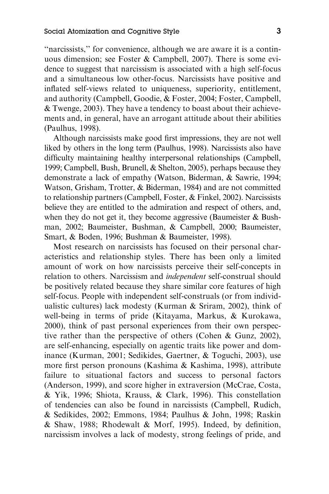''narcissists,'' for convenience, although we are aware it is a continuous dimension; see Foster & Campbell, 2007). There is some evidence to suggest that narcissism is associated with a high self-focus and a simultaneous low other-focus. Narcissists have positive and inflated self-views related to uniqueness, superiority, entitlement, and authority (Campbell, Goodie, & Foster, 2004; Foster, Campbell, & Twenge, 2003). They have a tendency to boast about their achievements and, in general, have an arrogant attitude about their abilities (Paulhus, 1998).

Although narcissists make good first impressions, they are not well liked by others in the long term (Paulhus, 1998). Narcissists also have difficulty maintaining healthy interpersonal relationships (Campbell, 1999; Campbell, Bush, Brunell, & Shelton, 2005), perhaps because they demonstrate a lack of empathy (Watson, Biderman, & Sawrie, 1994; Watson, Grisham, Trotter, & Biderman, 1984) and are not committed to relationship partners (Campbell, Foster, & Finkel, 2002). Narcissists believe they are entitled to the admiration and respect of others, and, when they do not get it, they become aggressive (Baumeister & Bushman, 2002; Baumeister, Bushman, & Campbell, 2000; Baumeister, Smart, & Boden, 1996; Bushman & Baumeister, 1998).

Most research on narcissists has focused on their personal characteristics and relationship styles. There has been only a limited amount of work on how narcissists perceive their self-concepts in relation to others. Narcissism and independent self-construal should be positively related because they share similar core features of high self-focus. People with independent self-construals (or from individualistic cultures) lack modesty (Kurman & Sriram, 2002), think of well-being in terms of pride (Kitayama, Markus, & Kurokawa, 2000), think of past personal experiences from their own perspective rather than the perspective of others (Cohen & Gunz, 2002), are self-enhancing, especially on agentic traits like power and dominance (Kurman, 2001; Sedikides, Gaertner, & Toguchi, 2003), use more first person pronouns (Kashima & Kashima, 1998), attribute failure to situational factors and success to personal factors (Anderson, 1999), and score higher in extraversion (McCrae, Costa, & Yik, 1996; Shiota, Krauss, & Clark, 1996). This constellation of tendencies can also be found in narcissists (Campbell, Rudich, & Sedikides, 2002; Emmons, 1984; Paulhus & John, 1998; Raskin & Shaw, 1988; Rhodewalt & Morf, 1995). Indeed, by definition, narcissism involves a lack of modesty, strong feelings of pride, and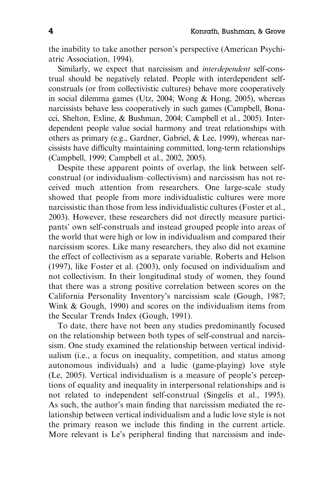the inability to take another person's perspective (American Psychiatric Association, 1994).

Similarly, we expect that narcissism and interdependent self-construal should be negatively related. People with interdependent selfconstruals (or from collectivistic cultures) behave more cooperatively in social dilemma games (Utz, 2004; Wong & Hong, 2005), whereas narcissists behave less cooperatively in such games (Campbell, Bonacci, Shelton, Exline, & Bushman, 2004; Campbell et al., 2005). Interdependent people value social harmony and treat relationships with others as primary (e.g., Gardner, Gabriel, & Lee, 1999), whereas narcissists have difficulty maintaining committed, long-term relationships (Campbell, 1999; Campbell et al., 2002, 2005).

Despite these apparent points of overlap, the link between selfconstrual (or individualism–collectivism) and narcissism has not received much attention from researchers. One large-scale study showed that people from more individualistic cultures were more narcissistic than those from less individualistic cultures (Foster et al., 2003). However, these researchers did not directly measure participants' own self-construals and instead grouped people into areas of the world that were high or low in individualism and compared their narcissism scores. Like many researchers, they also did not examine the effect of collectivism as a separate variable. Roberts and Helson (1997), like Foster et al. (2003), only focused on individualism and not collectivism. In their longitudinal study of women, they found that there was a strong positive correlation between scores on the California Personality Inventory's narcissism scale (Gough, 1987; Wink & Gough, 1990) and scores on the individualism items from the Secular Trends Index (Gough, 1991).

To date, there have not been any studies predominantly focused on the relationship between both types of self-construal and narcissism. One study examined the relationship between vertical individualism (i.e., a focus on inequality, competition, and status among autonomous individuals) and a ludic (game-playing) love style (Le, 2005). Vertical individualism is a measure of people's perceptions of equality and inequality in interpersonal relationships and is not related to independent self-construal (Singelis et al., 1995). As such, the author's main finding that narcissism mediated the relationship between vertical individualism and a ludic love style is not the primary reason we include this finding in the current article. More relevant is Le's peripheral finding that narcissism and inde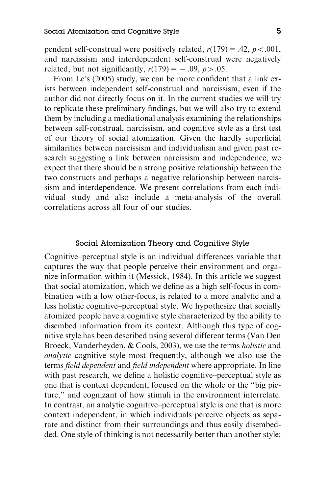pendent self-construal were positively related,  $r(179) = .42$ ,  $p < .001$ , and narcissism and interdependent self-construal were negatively related, but not significantly,  $r(179) = -.09$ ,  $p > .05$ .

From Le's (2005) study, we can be more confident that a link exists between independent self-construal and narcissism, even if the author did not directly focus on it. In the current studies we will try to replicate these preliminary findings, but we will also try to extend them by including a mediational analysis examining the relationships between self-construal, narcissism, and cognitive style as a first test of our theory of social atomization. Given the hardly superficial similarities between narcissism and individualism and given past research suggesting a link between narcissism and independence, we expect that there should be a strong positive relationship between the two constructs and perhaps a negative relationship between narcissism and interdependence. We present correlations from each individual study and also include a meta-analysis of the overall correlations across all four of our studies.

# Social Atomization Theory and Cognitive Style

Cognitive–perceptual style is an individual differences variable that captures the way that people perceive their environment and organize information within it (Messick, 1984). In this article we suggest that social atomization, which we define as a high self-focus in combination with a low other-focus, is related to a more analytic and a less holistic cognitive–perceptual style. We hypothesize that socially atomized people have a cognitive style characterized by the ability to disembed information from its context. Although this type of cognitive style has been described using several different terms (Van Den Broeck, Vanderheyden, & Cools, 2003), we use the terms holistic and analytic cognitive style most frequently, although we also use the terms field dependent and field independent where appropriate. In line with past research, we define a holistic cognitive–perceptual style as one that is context dependent, focused on the whole or the ''big picture,'' and cognizant of how stimuli in the environment interrelate. In contrast, an analytic cognitive–perceptual style is one that is more context independent, in which individuals perceive objects as separate and distinct from their surroundings and thus easily disembedded. One style of thinking is not necessarily better than another style;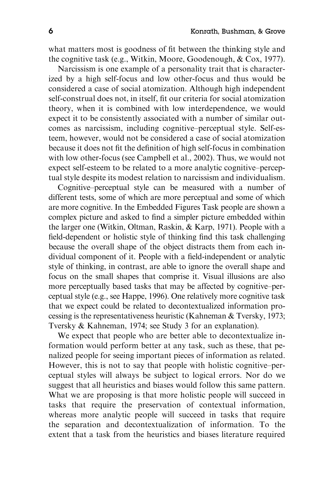what matters most is goodness of fit between the thinking style and the cognitive task (e.g., Witkin, Moore, Goodenough, & Cox, 1977).

Narcissism is one example of a personality trait that is characterized by a high self-focus and low other-focus and thus would be considered a case of social atomization. Although high independent self-construal does not, in itself, fit our criteria for social atomization theory, when it is combined with low interdependence, we would expect it to be consistently associated with a number of similar outcomes as narcissism, including cognitive–perceptual style. Self-esteem, however, would not be considered a case of social atomization because it does not fit the definition of high self-focus in combination with low other-focus (see Campbell et al., 2002). Thus, we would not expect self-esteem to be related to a more analytic cognitive–perceptual style despite its modest relation to narcissism and individualism.

Cognitive–perceptual style can be measured with a number of different tests, some of which are more perceptual and some of which are more cognitive. In the Embedded Figures Task people are shown a complex picture and asked to find a simpler picture embedded within the larger one (Witkin, Oltman, Raskin, & Karp, 1971). People with a field-dependent or holistic style of thinking find this task challenging because the overall shape of the object distracts them from each individual component of it. People with a field-independent or analytic style of thinking, in contrast, are able to ignore the overall shape and focus on the small shapes that comprise it. Visual illusions are also more perceptually based tasks that may be affected by cognitive–perceptual style (e.g., see Happe, 1996). One relatively more cognitive task that we expect could be related to decontextualized information processing is the representativeness heuristic (Kahneman & Tversky, 1973; Tversky & Kahneman, 1974; see Study 3 for an explanation).

We expect that people who are better able to decontextualize information would perform better at any task, such as these, that penalized people for seeing important pieces of information as related. However, this is not to say that people with holistic cognitive–perceptual styles will always be subject to logical errors. Nor do we suggest that all heuristics and biases would follow this same pattern. What we are proposing is that more holistic people will succeed in tasks that require the preservation of contextual information, whereas more analytic people will succeed in tasks that require the separation and decontextualization of information. To the extent that a task from the heuristics and biases literature required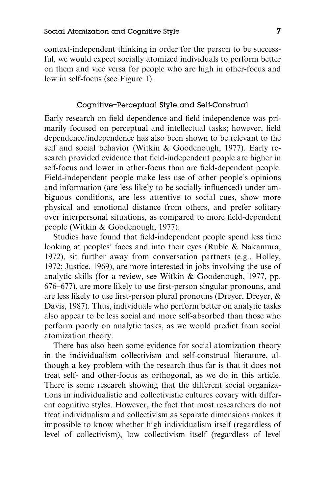context-independent thinking in order for the person to be successful, we would expect socially atomized individuals to perform better on them and vice versa for people who are high in other-focus and low in self-focus (see Figure 1).

# Cognitive–Perceptual Style and Self-Construal

Early research on field dependence and field independence was primarily focused on perceptual and intellectual tasks; however, field dependence/independence has also been shown to be relevant to the self and social behavior (Witkin & Goodenough, 1977). Early research provided evidence that field-independent people are higher in self-focus and lower in other-focus than are field-dependent people. Field-independent people make less use of other people's opinions and information (are less likely to be socially influenced) under ambiguous conditions, are less attentive to social cues, show more physical and emotional distance from others, and prefer solitary over interpersonal situations, as compared to more field-dependent people (Witkin & Goodenough, 1977).

Studies have found that field-independent people spend less time looking at peoples' faces and into their eyes (Ruble & Nakamura, 1972), sit further away from conversation partners (e.g., Holley, 1972; Justice, 1969), are more interested in jobs involving the use of analytic skills (for a review, see Witkin & Goodenough, 1977, pp. 676–677), are more likely to use first-person singular pronouns, and are less likely to use first-person plural pronouns (Dreyer, Dreyer, & Davis, 1987). Thus, individuals who perform better on analytic tasks also appear to be less social and more self-absorbed than those who perform poorly on analytic tasks, as we would predict from social atomization theory.

There has also been some evidence for social atomization theory in the individualism–collectivism and self-construal literature, although a key problem with the research thus far is that it does not treat self- and other-focus as orthogonal, as we do in this article. There is some research showing that the different social organizations in individualistic and collectivistic cultures covary with different cognitive styles. However, the fact that most researchers do not treat individualism and collectivism as separate dimensions makes it impossible to know whether high individualism itself (regardless of level of collectivism), low collectivism itself (regardless of level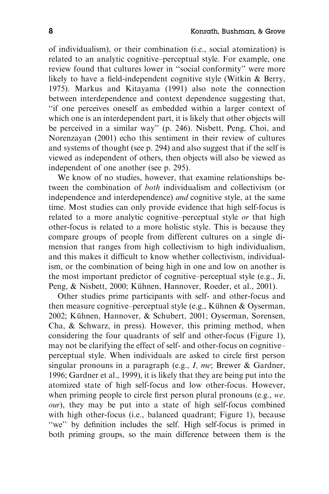of individualism), or their combination (i.e., social atomization) is related to an analytic cognitive–perceptual style. For example, one review found that cultures lower in ''social conformity'' were more likely to have a field-independent cognitive style (Witkin & Berry, 1975). Markus and Kitayama (1991) also note the connection between interdependence and context dependence suggesting that, ''if one perceives oneself as embedded within a larger context of which one is an interdependent part, it is likely that other objects will be perceived in a similar way'' (p. 246). Nisbett, Peng, Choi, and Norenzayan (2001) echo this sentiment in their review of cultures and systems of thought (see p. 294) and also suggest that if the self is viewed as independent of others, then objects will also be viewed as independent of one another (see p. 295).

We know of no studies, however, that examine relationships between the combination of both individualism and collectivism (or independence and interdependence) and cognitive style, at the same time. Most studies can only provide evidence that high self-focus is related to a more analytic cognitive–perceptual style or that high other-focus is related to a more holistic style. This is because they compare groups of people from different cultures on a single dimension that ranges from high collectivism to high individualism, and this makes it difficult to know whether collectivism, individualism, or the combination of being high in one and low on another is the most important predictor of cognitive–perceptual style (e.g., Ji, Peng, & Nisbett, 2000; Kühnen, Hannover, Roeder, et al., 2001).

Other studies prime participants with self- and other-focus and then measure cognitive–perceptual style (e.g., Kühnen  $&$  Oyserman, 2002; Kühnen, Hannover, & Schubert, 2001; Oyserman, Sorensen, Cha, & Schwarz, in press). However, this priming method, when considering the four quadrants of self and other-focus (Figure 1), may not be clarifying the effect of self- and other-focus on cognitive– perceptual style. When individuals are asked to circle first person singular pronouns in a paragraph (e.g.,  $I$ , me; Brewer & Gardner, 1996; Gardner et al., 1999), it is likely that they are being put into the atomized state of high self-focus and low other-focus. However, when priming people to circle first person plural pronouns (e.g., we, our), they may be put into a state of high self-focus combined with high other-focus (i.e., balanced quadrant; Figure 1), because "we" by definition includes the self. High self-focus is primed in both priming groups, so the main difference between them is the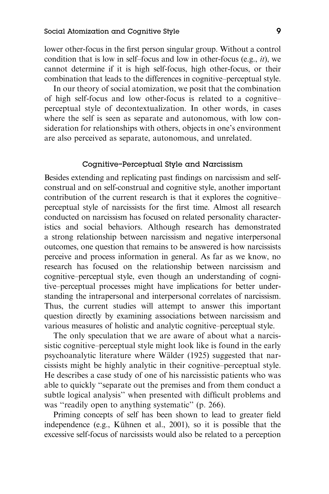lower other-focus in the first person singular group. Without a control condition that is low in self–focus and low in other-focus (e.g.,  $it$ ), we cannot determine if it is high self-focus, high other-focus, or their combination that leads to the differences in cognitive–perceptual style.

In our theory of social atomization, we posit that the combination of high self-focus and low other-focus is related to a cognitive– perceptual style of decontextualization. In other words, in cases where the self is seen as separate and autonomous, with low consideration for relationships with others, objects in one's environment are also perceived as separate, autonomous, and unrelated.

#### Cognitive–Perceptual Style and Narcissism

Besides extending and replicating past findings on narcissism and selfconstrual and on self-construal and cognitive style, another important contribution of the current research is that it explores the cognitive– perceptual style of narcissists for the first time. Almost all research conducted on narcissism has focused on related personality characteristics and social behaviors. Although research has demonstrated a strong relationship between narcissism and negative interpersonal outcomes, one question that remains to be answered is how narcissists perceive and process information in general. As far as we know, no research has focused on the relationship between narcissism and cognitive–perceptual style, even though an understanding of cognitive–perceptual processes might have implications for better understanding the intrapersonal and interpersonal correlates of narcissism. Thus, the current studies will attempt to answer this important question directly by examining associations between narcissism and various measures of holistic and analytic cognitive–perceptual style.

The only speculation that we are aware of about what a narcissistic cognitive–perceptual style might look like is found in the early psychoanalytic literature where Wälder (1925) suggested that narcissists might be highly analytic in their cognitive–perceptual style. He describes a case study of one of his narcissistic patients who was able to quickly ''separate out the premises and from them conduct a subtle logical analysis'' when presented with difficult problems and was "readily open to anything systematic" (p. 266).

Priming concepts of self has been shown to lead to greater field independence (e.g., Kühnen et al., 2001), so it is possible that the excessive self-focus of narcissists would also be related to a perception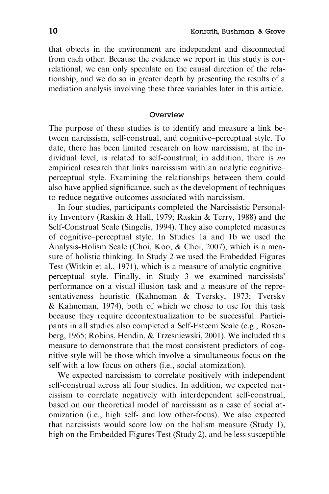that objects in the environment are independent and disconnected from each other. Because the evidence we report in this study is correlational, we can only speculate on the causal direction of the relationship, and we do so in greater depth by presenting the results of a mediation analysis involving these three variables later in this article.

#### **Overview**

The purpose of these studies is to identify and measure a link between narcissism, self-construal, and cognitive–perceptual style. To date, there has been limited research on how narcissism, at the individual level, is related to self-construal; in addition, there is no empirical research that links narcissism with an analytic cognitive– perceptual style. Examining the relationships between them could also have applied significance, such as the development of techniques to reduce negative outcomes associated with narcissism.

In four studies, participants completed the Narcissistic Personality Inventory (Raskin & Hall, 1979; Raskin & Terry, 1988) and the Self-Construal Scale (Singelis, 1994). They also completed measures of cognitive–perceptual style. In Studies 1a and 1b we used the Analysis-Holism Scale (Choi, Koo, & Choi, 2007), which is a measure of holistic thinking. In Study 2 we used the Embedded Figures Test (Witkin et al., 1971), which is a measure of analytic cognitive– perceptual style. Finally, in Study 3 we examined narcissists' performance on a visual illusion task and a measure of the representativeness heuristic (Kahneman & Tversky, 1973; Tversky & Kahneman, 1974), both of which we chose to use for this task because they require decontextualization to be successful. Participants in all studies also completed a Self-Esteem Scale (e.g., Rosenberg, 1965; Robins, Hendin, & Trzesniewski, 2001). We included this measure to demonstrate that the most consistent predictors of cognitive style will be those which involve a simultaneous focus on the self with a low focus on others (i.e., social atomization).

We expected narcissism to correlate positively with independent self-construal across all four studies. In addition, we expected narcissism to correlate negatively with interdependent self-construal, based on our theoretical model of narcissism as a case of social atomization (i.e., high self- and low other-focus). We also expected that narcissists would score low on the holism measure (Study 1), high on the Embedded Figures Test (Study 2), and be less susceptible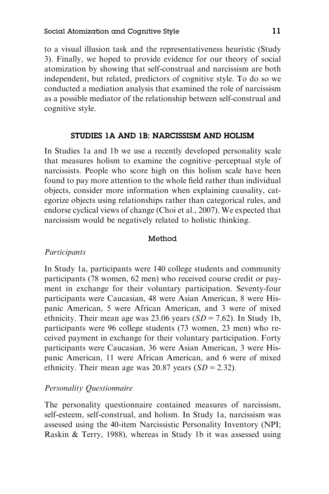to a visual illusion task and the representativeness heuristic (Study 3). Finally, we hoped to provide evidence for our theory of social atomization by showing that self-construal and narcissism are both independent, but related, predictors of cognitive style. To do so we conducted a mediation analysis that examined the role of narcissism as a possible mediator of the relationship between self-construal and cognitive style.

# STUDIES 1A AND 1B: NARCISSISM AND HOLISM

In Studies 1a and 1b we use a recently developed personality scale that measures holism to examine the cognitive–perceptual style of narcissists. People who score high on this holism scale have been found to pay more attention to the whole field rather than individual objects, consider more information when explaining causality, categorize objects using relationships rather than categorical rules, and endorse cyclical views of change (Choi et al., 2007). We expected that narcissism would be negatively related to holistic thinking.

### Method

#### Participants

In Study 1a, participants were 140 college students and community participants (78 women, 62 men) who received course credit or payment in exchange for their voluntary participation. Seventy-four participants were Caucasian, 48 were Asian American, 8 were Hispanic American, 5 were African American, and 3 were of mixed ethnicity. Their mean age was 23.06 years  $(SD = 7.62)$ . In Study 1b, participants were 96 college students (73 women, 23 men) who received payment in exchange for their voluntary participation. Forty participants were Caucasian, 36 were Asian American, 3 were Hispanic American, 11 were African American, and 6 were of mixed ethnicity. Their mean age was 20.87 years  $(SD = 2.32)$ .

# Personality Questionnaire

The personality questionnaire contained measures of narcissism, self-esteem, self-construal, and holism. In Study 1a, narcissism was assessed using the 40-item Narcissistic Personality Inventory (NPI; Raskin & Terry, 1988), whereas in Study 1b it was assessed using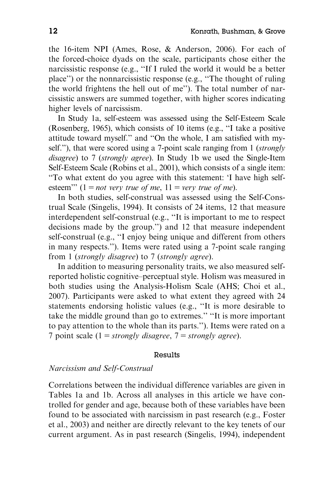the 16-item NPI (Ames, Rose, & Anderson, 2006). For each of the forced-choice dyads on the scale, participants chose either the narcissistic response (e.g., ''If I ruled the world it would be a better place'') or the nonnarcissistic response (e.g., ''The thought of ruling the world frightens the hell out of me''). The total number of narcissistic answers are summed together, with higher scores indicating higher levels of narcissism.

In Study 1a, self-esteem was assessed using the Self-Esteem Scale (Rosenberg, 1965), which consists of 10 items (e.g., ''I take a positive attitude toward myself.'' and ''On the whole, I am satisfied with myself."), that were scored using a 7-point scale ranging from 1 *(strongly* disagree) to 7 (strongly agree). In Study 1b we used the Single-Item Self-Esteem Scale (Robins et al., 2001), which consists of a single item: ''To what extent do you agree with this statement: 'I have high selfesteem'''  $(1 = not \, very \, true \, of \, me, \, 11 = very \, true \, of \, me).$ 

In both studies, self-construal was assessed using the Self-Construal Scale (Singelis, 1994). It consists of 24 items, 12 that measure interdependent self-construal (e.g., ''It is important to me to respect decisions made by the group.'') and 12 that measure independent self-construal (e.g., ''I enjoy being unique and different from others in many respects.''). Items were rated using a 7-point scale ranging from 1 (strongly disagree) to 7 (strongly agree).

In addition to measuring personality traits, we also measured selfreported holistic cognitive–perceptual style. Holism was measured in both studies using the Analysis-Holism Scale (AHS; Choi et al., 2007). Participants were asked to what extent they agreed with 24 statements endorsing holistic values (e.g., ''It is more desirable to take the middle ground than go to extremes.'' ''It is more important to pay attention to the whole than its parts.''). Items were rated on a 7 point scale  $(1 = strongly disagree, 7 = strongly agree)$ .

#### Results

# Narcissism and Self-Construal

Correlations between the individual difference variables are given in Tables 1a and 1b. Across all analyses in this article we have controlled for gender and age, because both of these variables have been found to be associated with narcissism in past research (e.g., Foster et al., 2003) and neither are directly relevant to the key tenets of our current argument. As in past research (Singelis, 1994), independent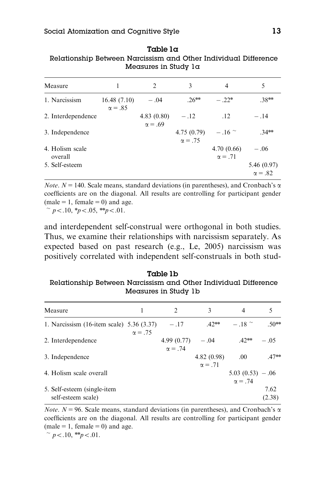| Measure                    |                               | $\mathcal{L}$                | 3                            | 4                            | 5                             |
|----------------------------|-------------------------------|------------------------------|------------------------------|------------------------------|-------------------------------|
| 1. Narcissism              | 16.48(7.10)<br>$\alpha = .85$ | $-.04$                       | $26**$                       | $-22*$                       | $.38**$                       |
| 2. Interdependence         |                               | 4.83(0.80)<br>$\alpha = .69$ | $-.12$                       | .12                          | $-.14$                        |
| 3. Independence            |                               |                              | 4.75(0.79)<br>$\alpha = .75$ | $-.16$ $\degree$             | $.34**$                       |
| 4. Holism scale<br>overall |                               |                              |                              | 4.70(0.66)<br>$\alpha = .71$ | $-.06$                        |
| 5. Self-esteem             |                               |                              |                              |                              | 5.46 (0.97)<br>$\alpha = .82$ |

|                                                                 | Table $1\sigma$      |  |  |
|-----------------------------------------------------------------|----------------------|--|--|
| Relationship Between Narcissism and Other Individual Difference |                      |  |  |
|                                                                 | Measures in Study 1a |  |  |

*Note.*  $N = 140$ . Scale means, standard deviations (in parentheses), and Cronbach's  $\alpha$ coefficients are on the diagonal. All results are controlling for participant gender  $(male = 1, female = 0)$  and age.

 $p < 0.10, \, p < 0.05, \, \frac{100}{3} < 0.01.$ 

and interdependent self-construal were orthogonal in both studies. Thus, we examine their relationships with narcissism separately. As expected based on past research (e.g., Le, 2005) narcissism was positively correlated with independent self-construals in both stud-

Table 1b Relationship Between Narcissism and Other Individual Difference Measures in Study 1b

| Measure                                           |                | 2                                     | 3                            | 4                                    | 5.             |
|---------------------------------------------------|----------------|---------------------------------------|------------------------------|--------------------------------------|----------------|
| 1. Narcissism $(16$ -item scale $)$ 5.36 $(3.37)$ | $\alpha = .75$ | $-17$                                 | $42**$                       | $-.18~^\sim$                         | - 50**         |
| 2. Interdependence                                |                | $4.99(0.77) = 0.04$<br>$\alpha = .74$ |                              | $.42**$                              | $-.05$         |
| 3. Independence                                   |                |                                       | 4.82(0.98)<br>$\alpha = .71$ | .00.                                 | $.47**$        |
| 4. Holism scale overall                           |                |                                       |                              | $5.03(0.53) - .06$<br>$\alpha = .74$ |                |
| 5. Self-esteem (single-item<br>self-esteem scale) |                |                                       |                              |                                      | 7.62<br>(2.38) |

*Note.*  $N = 96$ . Scale means, standard deviations (in parentheses), and Cronbach's  $\alpha$ coefficients are on the diagonal. All results are controlling for participant gender  $(male = 1, female = 0)$  and age.

 $p < 10$ , \*\*p $< 01$ .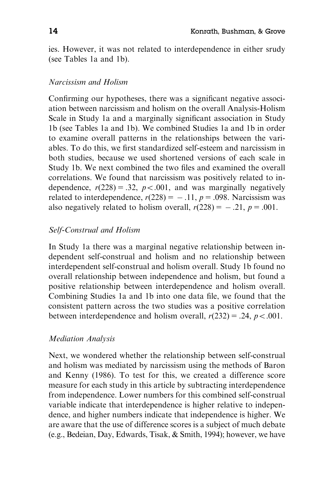ies. However, it was not related to interdependence in either srudy (see Tables 1a and 1b).

# Narcissism and Holism

Confirming our hypotheses, there was a significant negative association between narcissism and holism on the overall Analysis-Holism Scale in Study 1a and a marginally significant association in Study 1b (see Tables 1a and 1b). We combined Studies 1a and 1b in order to examine overall patterns in the relationships between the variables. To do this, we first standardized self-esteem and narcissism in both studies, because we used shortened versions of each scale in Study 1b. We next combined the two files and examined the overall correlations. We found that narcissism was positively related to independence,  $r(228) = .32$ ,  $p < .001$ , and was marginally negatively related to interdependence,  $r(228) = -.11$ ,  $p = .098$ . Narcissism was also negatively related to holism overall,  $r(228) = -.21$ ,  $p = .001$ .

# Self-Construal and Holism

In Study 1a there was a marginal negative relationship between independent self-construal and holism and no relationship between interdependent self-construal and holism overall. Study 1b found no overall relationship between independence and holism, but found a positive relationship between interdependence and holism overall. Combining Studies 1a and 1b into one data file, we found that the consistent pattern across the two studies was a positive correlation between interdependence and holism overall,  $r(232) = .24$ ,  $p < .001$ .

# Mediation Analysis

Next, we wondered whether the relationship between self-construal and holism was mediated by narcissism using the methods of Baron and Kenny (1986). To test for this, we created a difference score measure for each study in this article by subtracting interdependence from independence. Lower numbers for this combined self-construal variable indicate that interdependence is higher relative to independence, and higher numbers indicate that independence is higher. We are aware that the use of difference scores is a subject of much debate (e.g., Bedeian, Day, Edwards, Tisak, & Smith, 1994); however, we have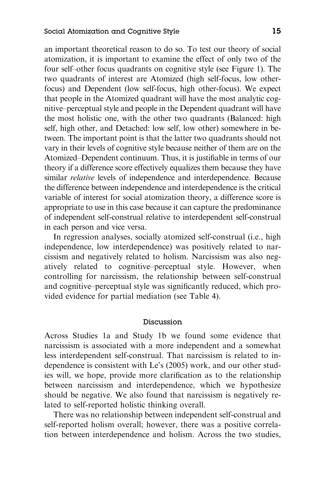an important theoretical reason to do so. To test our theory of social atomization, it is important to examine the effect of only two of the four self–other focus quadrants on cognitive style (see Figure 1). The two quadrants of interest are Atomized (high self-focus, low otherfocus) and Dependent (low self-focus, high other-focus). We expect that people in the Atomized quadrant will have the most analytic cognitive–perceptual style and people in the Dependent quadrant will have the most holistic one, with the other two quadrants (Balanced: high self, high other, and Detached: low self, low other) somewhere in between. The important point is that the latter two quadrants should not vary in their levels of cognitive style because neither of them are on the Atomized–Dependent continuum. Thus, it is justifiable in terms of our theory if a difference score effectively equalizes them because they have similar relative levels of independence and interdependence. Because the difference between independence and interdependence is the critical variable of interest for social atomization theory, a difference score is appropriate to use in this case because it can capture the predominance of independent self-construal relative to interdependent self-construal in each person and vice versa.

In regression analyses, socially atomized self-construal (i.e., high independence, low interdependence) was positively related to narcissism and negatively related to holism. Narcissism was also negatively related to cognitive–perceptual style. However, when controlling for narcissism, the relationship between self-construal and cognitive–perceptual style was significantly reduced, which provided evidence for partial mediation (see Table 4).

#### Discussion

Across Studies 1a and Study 1b we found some evidence that narcissism is associated with a more independent and a somewhat less interdependent self-construal. That narcissism is related to independence is consistent with Le's (2005) work, and our other studies will, we hope, provide more clarification as to the relationship between narcissism and interdependence, which we hypothesize should be negative. We also found that narcissism is negatively related to self-reported holistic thinking overall.

There was no relationship between independent self-construal and self-reported holism overall; however, there was a positive correlation between interdependence and holism. Across the two studies,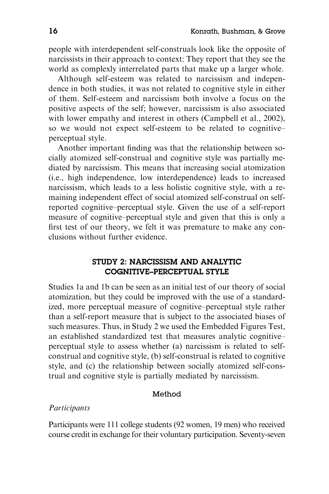people with interdependent self-construals look like the opposite of narcissists in their approach to context: They report that they see the world as complexly interrelated parts that make up a larger whole.

Although self-esteem was related to narcissism and independence in both studies, it was not related to cognitive style in either of them. Self-esteem and narcissism both involve a focus on the positive aspects of the self; however, narcissism is also associated with lower empathy and interest in others (Campbell et al., 2002), so we would not expect self-esteem to be related to cognitive– perceptual style.

Another important finding was that the relationship between socially atomized self-construal and cognitive style was partially mediated by narcissism. This means that increasing social atomization (i.e., high independence, low interdependence) leads to increased narcissism, which leads to a less holistic cognitive style, with a remaining independent effect of social atomized self-construal on selfreported cognitive–perceptual style. Given the use of a self-report measure of cognitive–perceptual style and given that this is only a first test of our theory, we felt it was premature to make any conclusions without further evidence.

# STUDY 2: NARCISSISM AND ANALYTIC COGNITIVE–PERCEPTUAL STYLE

Studies 1a and 1b can be seen as an initial test of our theory of social atomization, but they could be improved with the use of a standardized, more perceptual measure of cognitive–perceptual style rather than a self-report measure that is subject to the associated biases of such measures. Thus, in Study 2 we used the Embedded Figures Test, an established standardized test that measures analytic cognitive– perceptual style to assess whether (a) narcissism is related to selfconstrual and cognitive style, (b) self-construal is related to cognitive style, and (c) the relationship between socially atomized self-construal and cognitive style is partially mediated by narcissism.

# Method

### **Participants**

Participants were 111 college students (92 women, 19 men) who received course credit in exchange for their voluntary participation. Seventy-seven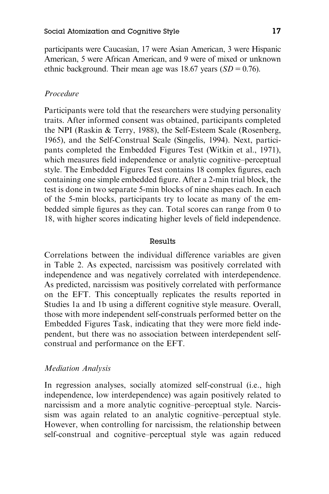participants were Caucasian, 17 were Asian American, 3 were Hispanic American, 5 were African American, and 9 were of mixed or unknown ethnic background. Their mean age was 18.67 years  $(SD = 0.76)$ .

# Procedure

Participants were told that the researchers were studying personality traits. After informed consent was obtained, participants completed the NPI (Raskin & Terry, 1988), the Self-Esteem Scale (Rosenberg, 1965), and the Self-Construal Scale (Singelis, 1994). Next, participants completed the Embedded Figures Test (Witkin et al., 1971), which measures field independence or analytic cognitive–perceptual style. The Embedded Figures Test contains 18 complex figures, each containing one simple embedded figure. After a 2-min trial block, the test is done in two separate 5-min blocks of nine shapes each. In each of the 5-min blocks, participants try to locate as many of the embedded simple figures as they can. Total scores can range from 0 to 18, with higher scores indicating higher levels of field independence.

# Results

Correlations between the individual difference variables are given in Table 2. As expected, narcissism was positively correlated with independence and was negatively correlated with interdependence. As predicted, narcissism was positively correlated with performance on the EFT. This conceptually replicates the results reported in Studies 1a and 1b using a different cognitive style measure. Overall, those with more independent self-construals performed better on the Embedded Figures Task, indicating that they were more field independent, but there was no association between interdependent selfconstrual and performance on the EFT.

#### Mediation Analysis

In regression analyses, socially atomized self-construal (i.e., high independence, low interdependence) was again positively related to narcissism and a more analytic cognitive–perceptual style. Narcissism was again related to an analytic cognitive–perceptual style. However, when controlling for narcissism, the relationship between self-construal and cognitive–perceptual style was again reduced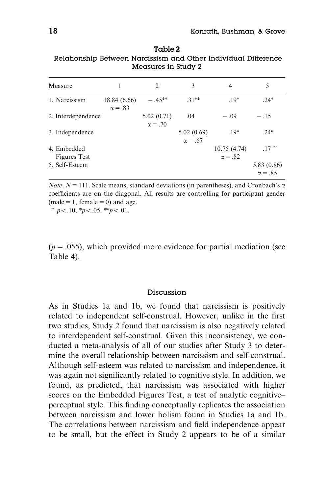| Measure                     | 1                              | $\overline{2}$               | 3                            | 4                             | 5                             |
|-----------------------------|--------------------------------|------------------------------|------------------------------|-------------------------------|-------------------------------|
| 1. Narcissism               | 18.84 (6.66)<br>$\alpha = .83$ | $-45**$                      | $31**$                       | $.19*$                        | $.24*$                        |
| 2. Interdependence          |                                | 5.02(0.71)<br>$\alpha = .70$ | .04                          | $-.09$                        | $-.15$                        |
| 3. Independence             |                                |                              | 5.02(0.69)<br>$\alpha = .67$ | $.19*$                        | $.24*$                        |
| 4. Embedded<br>Figures Test |                                |                              |                              | 10.75(4.74)<br>$\alpha = .82$ | $.17~\degree$                 |
| 5. Self-Esteem              |                                |                              |                              |                               | 5.83 (0.86)<br>$\alpha = .85$ |

Table 2 Relationship Between Narcissism and Other Individual Difference Measures in Study 2

*Note.*  $N = 111$ . Scale means, standard deviations (in parentheses), and Cronbach's  $\alpha$ coefficients are on the diagonal. All results are controlling for participant gender  $(male = 1, female = 0)$  and age.

 $p < 0.10$ ,  $np < 0.05$ ,  $mp < 0.01$ .

 $(p = .055)$ , which provided more evidence for partial mediation (see Table 4).

#### Discussion

As in Studies 1a and 1b, we found that narcissism is positively related to independent self-construal. However, unlike in the first two studies, Study 2 found that narcissism is also negatively related to interdependent self-construal. Given this inconsistency, we conducted a meta-analysis of all of our studies after Study 3 to determine the overall relationship between narcissism and self-construal. Although self-esteem was related to narcissism and independence, it was again not significantly related to cognitive style. In addition, we found, as predicted, that narcissism was associated with higher scores on the Embedded Figures Test, a test of analytic cognitive– perceptual style. This finding conceptually replicates the association between narcissism and lower holism found in Studies 1a and 1b. The correlations between narcissism and field independence appear to be small, but the effect in Study 2 appears to be of a similar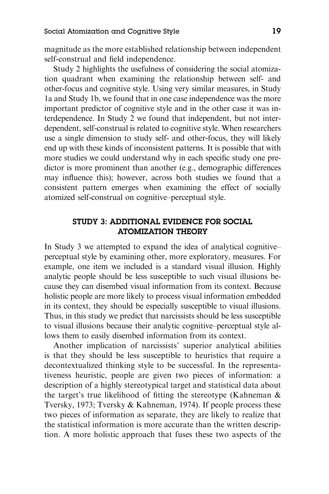magnitude as the more established relationship between independent self-construal and field independence.

Study 2 highlights the usefulness of considering the social atomization quadrant when examining the relationship between self- and other-focus and cognitive style. Using very similar measures, in Study 1a and Study 1b, we found that in one case independence was the more important predictor of cognitive style and in the other case it was interdependence. In Study 2 we found that independent, but not interdependent, self-construal is related to cognitive style. When researchers use a single dimension to study self- and other-focus, they will likely end up with these kinds of inconsistent patterns. It is possible that with more studies we could understand why in each specific study one predictor is more prominent than another (e.g., demographic differences may influence this); however, across both studies we found that a consistent pattern emerges when examining the effect of socially atomized self-construal on cognitive–perceptual style.

# STUDY 3: ADDITIONAL EVIDENCE FOR SOCIAL ATOMIZATION THEORY

In Study 3 we attempted to expand the idea of analytical cognitive– perceptual style by examining other, more exploratory, measures. For example, one item we included is a standard visual illusion. Highly analytic people should be less susceptible to such visual illusions because they can disembed visual information from its context. Because holistic people are more likely to process visual information embedded in its context, they should be especially susceptible to visual illusions. Thus, in this study we predict that narcissists should be less susceptible to visual illusions because their analytic cognitive–perceptual style allows them to easily disembed information from its context.

Another implication of narcissists' superior analytical abilities is that they should be less susceptible to heuristics that require a decontextualized thinking style to be successful. In the representativeness heuristic, people are given two pieces of information: a description of a highly stereotypical target and statistical data about the target's true likelihood of fitting the stereotype (Kahneman & Tversky, 1973; Tversky & Kahneman, 1974). If people process these two pieces of information as separate, they are likely to realize that the statistical information is more accurate than the written description. A more holistic approach that fuses these two aspects of the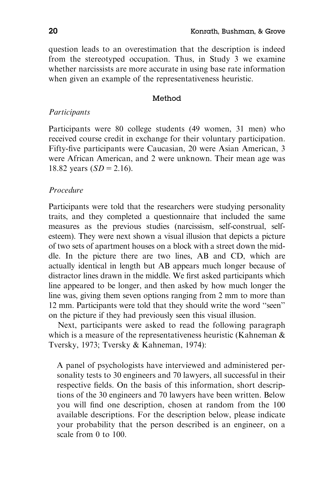question leads to an overestimation that the description is indeed from the stereotyped occupation. Thus, in Study 3 we examine whether narcissists are more accurate in using base rate information when given an example of the representativeness heuristic.

### Method

# Participants

Participants were 80 college students (49 women, 31 men) who received course credit in exchange for their voluntary participation. Fifty-five participants were Caucasian, 20 were Asian American, 3 were African American, and 2 were unknown. Their mean age was 18.82 years  $(SD = 2.16)$ .

# Procedure

Participants were told that the researchers were studying personality traits, and they completed a questionnaire that included the same measures as the previous studies (narcissism, self-construal, selfesteem). They were next shown a visual illusion that depicts a picture of two sets of apartment houses on a block with a street down the middle. In the picture there are two lines, AB and CD, which are actually identical in length but AB appears much longer because of distractor lines drawn in the middle. We first asked participants which line appeared to be longer, and then asked by how much longer the line was, giving them seven options ranging from 2 mm to more than 12 mm. Participants were told that they should write the word ''seen'' on the picture if they had previously seen this visual illusion.

Next, participants were asked to read the following paragraph which is a measure of the representativeness heuristic (Kahneman & Tversky, 1973; Tversky & Kahneman, 1974):

A panel of psychologists have interviewed and administered personality tests to 30 engineers and 70 lawyers, all successful in their respective fields. On the basis of this information, short descriptions of the 30 engineers and 70 lawyers have been written. Below you will find one description, chosen at random from the 100 available descriptions. For the description below, please indicate your probability that the person described is an engineer, on a scale from 0 to 100.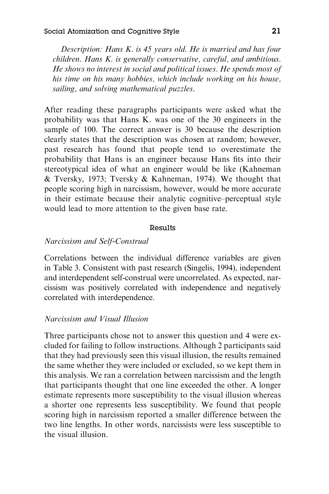Description: Hans K. is 45 years old. He is married and has four children. Hans K. is generally conservative, careful, and ambitious. He shows no interest in social and political issues. He spends most of his time on his many hobbies, which include working on his house, sailing, and solving mathematical puzzles.

After reading these paragraphs participants were asked what the probability was that Hans K. was one of the 30 engineers in the sample of 100. The correct answer is 30 because the description clearly states that the description was chosen at random; however, past research has found that people tend to overestimate the probability that Hans is an engineer because Hans fits into their stereotypical idea of what an engineer would be like (Kahneman & Tversky, 1973; Tversky & Kahneman, 1974). We thought that people scoring high in narcissism, however, would be more accurate in their estimate because their analytic cognitive–perceptual style would lead to more attention to the given base rate.

#### Results

# Narcissism and Self-Construal

Correlations between the individual difference variables are given in Table 3. Consistent with past research (Singelis, 1994), independent and interdependent self-construal were uncorrelated. As expected, narcissism was positively correlated with independence and negatively correlated with interdependence.

# Narcissism and Visual Illusion

Three participants chose not to answer this question and 4 were excluded for failing to follow instructions. Although 2 participants said that they had previously seen this visual illusion, the results remained the same whether they were included or excluded, so we kept them in this analysis. We ran a correlation between narcissism and the length that participants thought that one line exceeded the other. A longer estimate represents more susceptibility to the visual illusion whereas a shorter one represents less susceptibility. We found that people scoring high in narcissism reported a smaller difference between the two line lengths. In other words, narcissists were less susceptible to the visual illusion.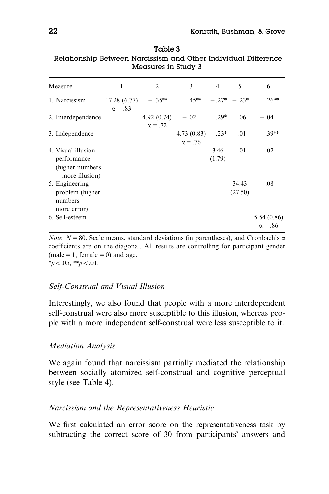| Measure                                                                     | 1                             | $\overline{2}$ | 3                                             | $\overline{4}$ | 5                        | 6                             |
|-----------------------------------------------------------------------------|-------------------------------|----------------|-----------------------------------------------|----------------|--------------------------|-------------------------------|
| 1. Narcissism                                                               | 17.28(6.77)<br>$\alpha = .83$ | $-.35***$      |                                               |                | $.45***$ $-.27*$ $-.23*$ | $.26**$                       |
| 2. Interdependence                                                          |                               | $\alpha = .72$ | $4.92(0.74) - 0.02$                           | $.29*$         | .06                      | $-.04$                        |
| 3. Independence                                                             |                               |                | $4.73(0.83) - 0.23* - 0.01$<br>$\alpha = .76$ |                |                          | $.39**$                       |
| 4. Visual illusion<br>performance<br>(higher numbers)<br>$=$ more illusion) |                               |                |                                               | (1.79)         | $3.46 - 0.01$            | .02                           |
| 5. Engineering<br>problem (higher<br>$numbers =$<br>more error)             |                               |                |                                               |                | 34.43<br>(27.50)         | $-.08$                        |
| 6. Self-esteem                                                              |                               |                |                                               |                |                          | 5.54 (0.86)<br>$\alpha = .86$ |

Table 3 Relationship Between Narcissism and Other Individual Difference Measures in Study 3

*Note.*  $N = 80$ . Scale means, standard deviations (in parentheses), and Cronbach's  $\alpha$ coefficients are on the diagonal. All results are controlling for participant gender  $(male = 1, female = 0)$  and age. \* $p < .05$ , \*\* $p < .01$ .

# Self-Construal and Visual Illusion

Interestingly, we also found that people with a more interdependent self-construal were also more susceptible to this illusion, whereas people with a more independent self-construal were less susceptible to it.

# Mediation Analysis

We again found that narcissism partially mediated the relationship between socially atomized self-construal and cognitive–perceptual style (see Table 4).

# Narcissism and the Representativeness Heuristic

We first calculated an error score on the representativeness task by subtracting the correct score of 30 from participants' answers and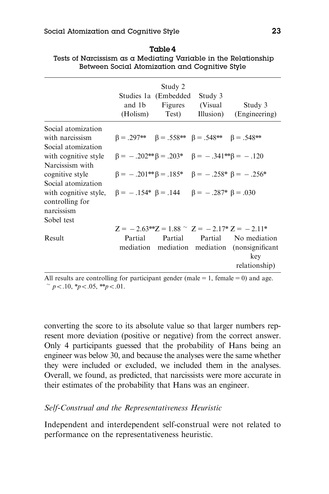|                                                                                                                                        |         | Study 2<br>Studies 1a (Embedded Study 3<br>(Holism) Test) | and 1b Figures (Visual<br>Illusion)                                     | Study 3<br>(Engineering)                                                                              |
|----------------------------------------------------------------------------------------------------------------------------------------|---------|-----------------------------------------------------------|-------------------------------------------------------------------------|-------------------------------------------------------------------------------------------------------|
| Social atomization<br>with narcissism<br>Social atomization                                                                            |         |                                                           | $\beta = .297$ ** $\beta = .558$ ** $\beta = .548$ ** $\beta = .548$ ** |                                                                                                       |
| with cognitive style $\beta = -.202**\beta = .203* \beta = -.341**\beta = -.120$<br>Narcissism with                                    |         |                                                           |                                                                         |                                                                                                       |
| cognitive style<br>Social atomization                                                                                                  |         |                                                           | $\beta = -.201**\beta = .185*$ $\beta = -.258*$ $\beta = -.256*$        |                                                                                                       |
| with cognitive style, $\beta = -.154^*$ $\beta = .144$ $\beta = -.287^*$ $\beta = .030$<br>controlling for<br>narcissism<br>Sobel test |         |                                                           |                                                                         |                                                                                                       |
|                                                                                                                                        |         |                                                           |                                                                         | $Z = -2.63**Z = 1.88$ $\degree$ $Z = -2.17*Z = -2.11*$                                                |
| Result                                                                                                                                 | Partial |                                                           |                                                                         | Partial Partial No mediation<br>mediation mediation mediation (nonsignificant<br>key<br>relationship) |

| Table 4                                                         |
|-----------------------------------------------------------------|
| Tests of Narcissism as a Mediating Variable in the Relationship |
| Between Social Atomization and Cognitive Style                  |

All results are controlling for participant gender (male  $= 1$ , female  $= 0$ ) and age.  $p < 0.10$ , \* $p < 0.05$ , \*\* $p < 0.01$ .

converting the score to its absolute value so that larger numbers represent more deviation (positive or negative) from the correct answer. Only 4 participants guessed that the probability of Hans being an engineer was below 30, and because the analyses were the same whether they were included or excluded, we included them in the analyses. Overall, we found, as predicted, that narcissists were more accurate in their estimates of the probability that Hans was an engineer.

# Self-Construal and the Representativeness Heuristic

Independent and interdependent self-construal were not related to performance on the representativeness heuristic.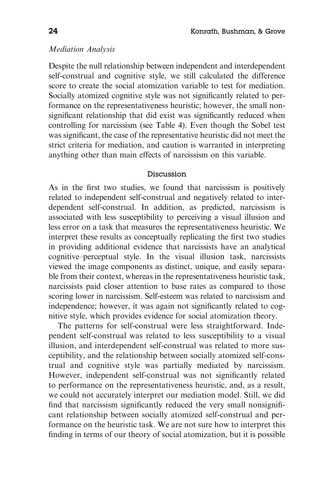#### Mediation Analysis

Despite the null relationship between independent and interdependent self-construal and cognitive style, we still calculated the difference score to create the social atomization variable to test for mediation. Socially atomized cognitive style was not significantly related to performance on the representativeness heuristic; however, the small nonsignificant relationship that did exist was significantly reduced when controlling for narcissism (see Table 4). Even though the Sobel test was significant, the case of the representative heuristic did not meet the strict criteria for mediation, and caution is warranted in interpreting anything other than main effects of narcissism on this variable.

#### Discussion

As in the first two studies, we found that narcissism is positively related to independent self-construal and negatively related to interdependent self-construal. In addition, as predicted, narcissism is associated with less susceptibility to perceiving a visual illusion and less error on a task that measures the representativeness heuristic. We interpret these results as conceptually replicating the first two studies in providing additional evidence that narcissists have an analytical cognitive–perceptual style. In the visual illusion task, narcissists viewed the image components as distinct, unique, and easily separable from their context, whereas in the representativeness heuristic task, narcissists paid closer attention to base rates as compared to those scoring lower in narcissism. Self-esteem was related to narcissism and independence; however, it was again not significantly related to cognitive style, which provides evidence for social atomization theory.

The patterns for self-construal were less straightforward. Independent self-construal was related to less susceptibility to a visual illusion, and interdependent self-construal was related to more susceptibility, and the relationship between socially atomized self-construal and cognitive style was partially mediated by narcissism. However, independent self-construal was not significantly related to performance on the representativeness heuristic, and, as a result, we could not accurately interpret our mediation model. Still, we did find that narcissism significantly reduced the very small nonsignificant relationship between socially atomized self-construal and performance on the heuristic task. We are not sure how to interpret this finding in terms of our theory of social atomization, but it is possible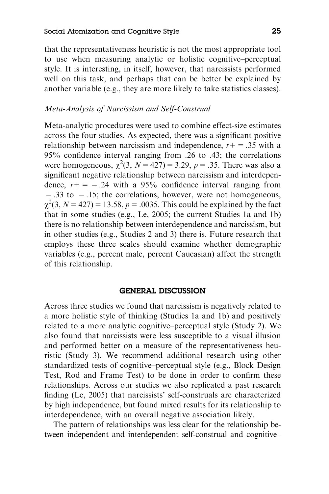that the representativeness heuristic is not the most appropriate tool to use when measuring analytic or holistic cognitive–perceptual style. It is interesting, in itself, however, that narcissists performed well on this task, and perhaps that can be better be explained by another variable (e.g., they are more likely to take statistics classes).

# Meta-Analysis of Narcissism and Self-Construal

Meta-analytic procedures were used to combine effect-size estimates across the four studies. As expected, there was a significant positive relationship between narcissism and independence,  $r + 35$  with a 95% confidence interval ranging from .26 to .43; the correlations were homogeneous,  $\chi^2(3, N = 427) = 3.29$ ,  $p = .35$ . There was also a significant negative relationship between narcissism and interdependence,  $r + = -0.24$  with a 95% confidence interval ranging from  $-0.33$  to  $-0.15$ ; the correlations, however, were not homogeneous,  $\chi^2(3, N = 427) = 13.58, p = .0035$ . This could be explained by the fact that in some studies (e.g., Le, 2005; the current Studies 1a and 1b) there is no relationship between interdependence and narcissism, but in other studies (e.g., Studies 2 and 3) there is. Future research that employs these three scales should examine whether demographic variables (e.g., percent male, percent Caucasian) affect the strength of this relationship.

# GENERAL DISCUSSION

Across three studies we found that narcissism is negatively related to a more holistic style of thinking (Studies 1a and 1b) and positively related to a more analytic cognitive–perceptual style (Study 2). We also found that narcissists were less susceptible to a visual illusion and performed better on a measure of the representativeness heuristic (Study 3). We recommend additional research using other standardized tests of cognitive–perceptual style (e.g., Block Design Test, Rod and Frame Test) to be done in order to confirm these relationships. Across our studies we also replicated a past research finding (Le, 2005) that narcissists' self-construals are characterized by high independence, but found mixed results for its relationship to interdependence, with an overall negative association likely.

The pattern of relationships was less clear for the relationship between independent and interdependent self-construal and cognitive–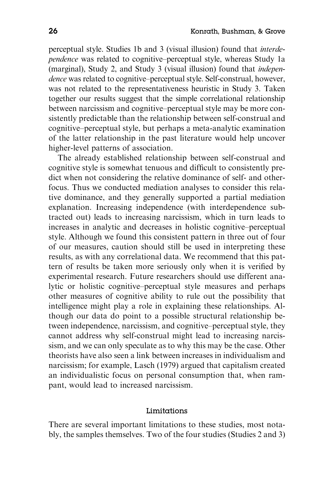perceptual style. Studies 1b and 3 (visual illusion) found that interdependence was related to cognitive–perceptual style, whereas Study 1a (marginal), Study 2, and Study 3 (visual illusion) found that *indepen*dence was related to cognitive–perceptual style. Self-construal, however, was not related to the representativeness heuristic in Study 3. Taken together our results suggest that the simple correlational relationship between narcissism and cognitive–perceptual style may be more consistently predictable than the relationship between self-construal and cognitive–perceptual style, but perhaps a meta-analytic examination of the latter relationship in the past literature would help uncover higher-level patterns of association.

The already established relationship between self-construal and cognitive style is somewhat tenuous and difficult to consistently predict when not considering the relative dominance of self- and otherfocus. Thus we conducted mediation analyses to consider this relative dominance, and they generally supported a partial mediation explanation. Increasing independence (with interdependence subtracted out) leads to increasing narcissism, which in turn leads to increases in analytic and decreases in holistic cognitive–perceptual style. Although we found this consistent pattern in three out of four of our measures, caution should still be used in interpreting these results, as with any correlational data. We recommend that this pattern of results be taken more seriously only when it is verified by experimental research. Future researchers should use different analytic or holistic cognitive–perceptual style measures and perhaps other measures of cognitive ability to rule out the possibility that intelligence might play a role in explaining these relationships. Although our data do point to a possible structural relationship between independence, narcissism, and cognitive–perceptual style, they cannot address why self-construal might lead to increasing narcissism, and we can only speculate as to why this may be the case. Other theorists have also seen a link between increases in individualism and narcissism; for example, Lasch (1979) argued that capitalism created an individualistic focus on personal consumption that, when rampant, would lead to increased narcissism.

### Limitations

There are several important limitations to these studies, most notably, the samples themselves. Two of the four studies (Studies 2 and 3)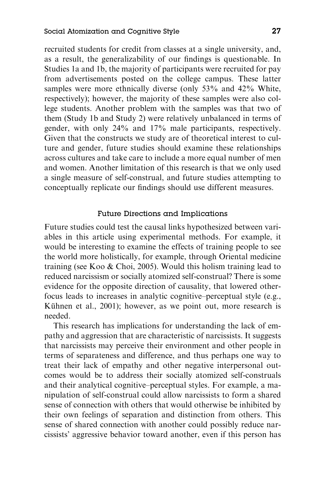recruited students for credit from classes at a single university, and, as a result, the generalizability of our findings is questionable. In Studies 1a and 1b, the majority of participants were recruited for pay from advertisements posted on the college campus. These latter samples were more ethnically diverse (only 53% and 42% White, respectively); however, the majority of these samples were also college students. Another problem with the samples was that two of them (Study 1b and Study 2) were relatively unbalanced in terms of gender, with only 24% and 17% male participants, respectively. Given that the constructs we study are of theoretical interest to culture and gender, future studies should examine these relationships across cultures and take care to include a more equal number of men and women. Another limitation of this research is that we only used a single measure of self-construal, and future studies attempting to conceptually replicate our findings should use different measures.

### Future Directions and Implications

Future studies could test the causal links hypothesized between variables in this article using experimental methods. For example, it would be interesting to examine the effects of training people to see the world more holistically, for example, through Oriental medicine training (see Koo & Choi, 2005). Would this holism training lead to reduced narcissism or socially atomized self-construal? There is some evidence for the opposite direction of causality, that lowered otherfocus leads to increases in analytic cognitive–perceptual style (e.g., Kühnen et al., 2001); however, as we point out, more research is needed.

This research has implications for understanding the lack of empathy and aggression that are characteristic of narcissists. It suggests that narcissists may perceive their environment and other people in terms of separateness and difference, and thus perhaps one way to treat their lack of empathy and other negative interpersonal outcomes would be to address their socially atomized self-construals and their analytical cognitive–perceptual styles. For example, a manipulation of self-construal could allow narcissists to form a shared sense of connection with others that would otherwise be inhibited by their own feelings of separation and distinction from others. This sense of shared connection with another could possibly reduce narcissists' aggressive behavior toward another, even if this person has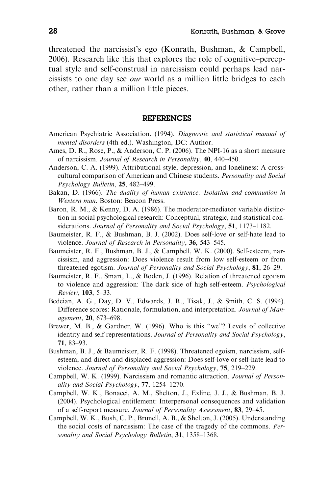threatened the narcissist's ego (Konrath, Bushman, & Campbell, 2006). Research like this that explores the role of cognitive–perceptual style and self-construal in narcissism could perhaps lead narcissists to one day see our world as a million little bridges to each other, rather than a million little pieces.

#### REFERENCES

- American Psychiatric Association. (1994). Diagnostic and statistical manual of mental disorders (4th ed.). Washington, DC: Author.
- Ames, D. R., Rose, P., & Anderson, C. P. (2006). The NPI-16 as a short measure of narcissism. Journal of Research in Personality, 40, 440–450.
- Anderson, C. A. (1999). Attributional style, depression, and loneliness: A crosscultural comparison of American and Chinese students. Personality and Social Psychology Bulletin, 25, 482–499.
- Bakan, D. (1966). The duality of human existence: Isolation and communion in Western man. Boston: Beacon Press.
- Baron, R. M., & Kenny, D. A. (1986). The moderator-mediator variable distinction in social psychological research: Conceptual, strategic, and statistical considerations. Journal of Personality and Social Psychology, 51, 1173–1182.
- Baumeister, R. F., & Bushman, B. J. (2002). Does self-love or self-hate lead to violence. Journal of Research in Personality, 36, 543–545.
- Baumeister, R. F., Bushman, B. J., & Campbell, W. K. (2000). Self-esteem, narcissism, and aggression: Does violence result from low self-esteem or from threatened egotism. Journal of Personality and Social Psychology, 81, 26–29.
- Baumeister, R. F., Smart, L., & Boden, J. (1996). Relation of threatened egotism to violence and aggression: The dark side of high self-esteem. Psychological Review, 103, 5–33.
- Bedeian, A. G., Day, D. V., Edwards, J. R., Tisak, J., & Smith, C. S. (1994). Difference scores: Rationale, formulation, and interpretation. Journal of Management, 20, 673–698.
- Brewer, M. B., & Gardner, W. (1996). Who is this ''we''? Levels of collective identity and self representations. Journal of Personality and Social Psychology, 71, 83–93.
- Bushman, B. J., & Baumeister, R. F. (1998). Threatened egoism, narcissism, selfesteem, and direct and displaced aggression: Does self-love or self-hate lead to violence. Journal of Personality and Social Psychology, 75, 219–229.
- Campbell, W. K. (1999). Narcissism and romantic attraction. Journal of Personality and Social Psychology, 77, 1254–1270.
- Campbell, W. K., Bonacci, A. M., Shelton, J., Exline, J. J., & Bushman, B. J. (2004). Psychological entitlement: Interpersonal consequences and validation of a self-report measure. Journal of Personality Assessment, 83, 29–45.
- Campbell, W. K., Bush, C. P., Brunell, A. B., & Shelton, J. (2005). Understanding the social costs of narcissism: The case of the tragedy of the commons. Personality and Social Psychology Bulletin, 31, 1358-1368.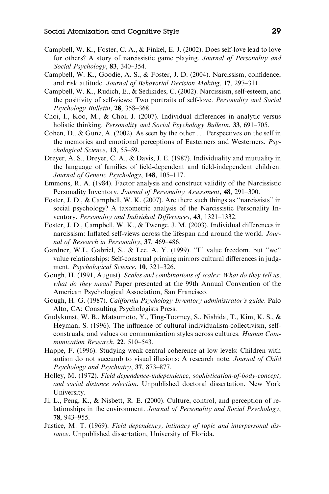- Campbell, W. K., Foster, C. A., & Finkel, E. J. (2002). Does self-love lead to love for others? A story of narcissistic game playing. Journal of Personality and Social Psychology, 83, 340–354.
- Campbell, W. K., Goodie, A. S., & Foster, J. D. (2004). Narcissism, confidence, and risk attitude. Journal of Behavorial Decision Making, 17, 297-311.
- Campbell, W. K., Rudich, E., & Sedikides, C. (2002). Narcissism, self-esteem, and the positivity of self-views: Two portraits of self-love. Personality and Social Psychology Bulletin, 28, 358–368.
- Choi, I., Koo, M., & Choi, J. (2007). Individual differences in analytic versus holistic thinking. *Personality and Social Psychology Bulletin*, 33, 691–705.
- Cohen, D., & Gunz, A. (2002). As seen by the other . . . Perspectives on the self in the memories and emotional perceptions of Easterners and Westerners. Psychological Science, 13, 55–59.
- Dreyer, A. S., Dreyer, C. A., & Davis, J. E. (1987). Individuality and mutuality in the language of families of field-dependent and field-independent children. Journal of Genetic Psychology, 148, 105-117.
- Emmons, R. A. (1984). Factor analysis and construct validity of the Narcissistic Personality Inventory. Journal of Personality Assessment, 48, 291-300.
- Foster, J. D., & Campbell, W. K. (2007). Are there such things as ''narcissists'' in social psychology? A taxometric analysis of the Narcissistic Personality Inventory. Personality and Individual Differences, 43, 1321–1332.
- Foster, J. D., Campbell, W. K., & Twenge, J. M. (2003). Individual differences in narcissism: Inflated self-views across the lifespan and around the world. Journal of Research in Personality, 37, 469–486.
- Gardner, W.L, Gabriel, S., & Lee, A. Y. (1999). "I" value freedom, but "we" value relationships: Self-construal priming mirrors cultural differences in judgment. Psychological Science, 10, 321-326.
- Gough, H. (1991, August). Scales and combinations of scales: What do they tell us, what do they mean? Paper presented at the 99th Annual Convention of the American Psychological Association, San Francisco.
- Gough, H. G. (1987). California Psychology Inventory administrator's guide. Palo Alto, CA: Consulting Psychologists Press.
- Gudykunst, W. B., Matsumoto, Y., Ting-Toomey, S., Nishida, T., Kim, K. S., & Heyman, S. (1996). The influence of cultural individualism-collectivism, selfconstruals, and values on communication styles across cultures. Human Communication Research, 22, 510-543.
- Happe, F. (1996). Studying weak central coherence at low levels: Children with autism do not succumb to visual illusions: A research note. Journal of Child Psychology and Psychiatry, 37, 873–877.
- Holley, M. (1972). Field dependence-independence, sophistication-of-body-concept, and social distance selection. Unpublished doctoral dissertation, New York University.
- Ji, L., Peng, K., & Nisbett, R. E. (2000). Culture, control, and perception of relationships in the environment. Journal of Personality and Social Psychology, 78, 943–955.
- Justice, M. T. (1969). Field dependency, intimacy of topic and interpersonal distance. Unpublished dissertation, University of Florida.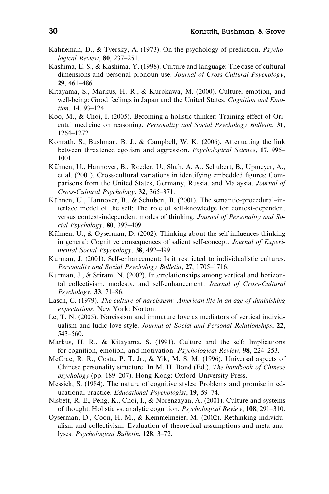- Kahneman, D., & Tversky, A. (1973). On the psychology of prediction. Psychological Review, 80, 237–251.
- Kashima, E. S., & Kashima, Y. (1998). Culture and language: The case of cultural dimensions and personal pronoun use. Journal of Cross-Cultural Psychology, 29, 461–486.
- Kitayama, S., Markus, H. R., & Kurokawa, M. (2000). Culture, emotion, and well-being: Good feelings in Japan and the United States. Cognition and Emotion, 14, 93–124.
- Koo, M., & Choi, I. (2005). Becoming a holistic thinker: Training effect of Oriental medicine on reasoning. *Personality and Social Psychology Bulletin*, 31, 1264–1272.
- Konrath, S., Bushman, B. J., & Campbell, W. K. (2006). Attenuating the link between threatened egotism and aggression. *Psychological Science*, 17, 995– 1001.
- Kühnen, U., Hannover, B., Roeder, U., Shah, A. A., Schubert, B., Upmeyer, A., et al. (2001). Cross-cultural variations in identifying embedded figures: Comparisons from the United States, Germany, Russia, and Malaysia. Journal of Cross-Cultural Psychology, 32, 365–371.
- Kühnen, U., Hannover, B., & Schubert, B. (2001). The semantic–procedural–interface model of the self: The role of self-knowledge for context-dependent versus context-independent modes of thinking. Journal of Personality and So $cial$   $Psychology$ ,  $80$ , 397–409.
- Kühnen, U., & Oyserman, D. (2002). Thinking about the self influences thinking in general: Cognitive consequences of salient self-concept. Journal of Experimental Social Psychology, 38, 492–499.
- Kurman, J. (2001). Self-enhancement: Is it restricted to individualistic cultures. Personality and Social Psychology Bulletin, 27, 1705–1716.
- Kurman, J., & Sriram, N. (2002). Interrelationships among vertical and horizontal collectivism, modesty, and self-enhancement. Journal of Cross-Cultural Psychology, 33, 71-86.
- Lasch, C. (1979). The culture of narcissism: American life in an age of diminishing expectations. New York: Norton.
- Le, T. N. (2005). Narcissism and immature love as mediators of vertical individualism and ludic love style. Journal of Social and Personal Relationships, 22, 543–560.
- Markus, H. R., & Kitayama, S. (1991). Culture and the self: Implications for cognition, emotion, and motivation. Psychological Review, 98, 224–253.
- McCrae, R. R., Costa, P. T. Jr., & Yik, M. S. M. (1996). Universal aspects of Chinese personality structure. In M. H. Bond (Ed.), The handbook of Chinese psychology (pp. 189–207). Hong Kong: Oxford University Press.
- Messick, S. (1984). The nature of cognitive styles: Problems and promise in educational practice. Educational Psychologist, 19, 59–74.
- Nisbett, R. E., Peng, K., Choi, I., & Norenzayan, A. (2001). Culture and systems of thought: Holistic vs. analytic cognition. Psychological Review, 108, 291–310.
- Oyserman, D., Coon, H. M., & Kemmelmeier, M. (2002). Rethinking individualism and collectivism: Evaluation of theoretical assumptions and meta-analyses. Psychological Bulletin, 128, 3–72.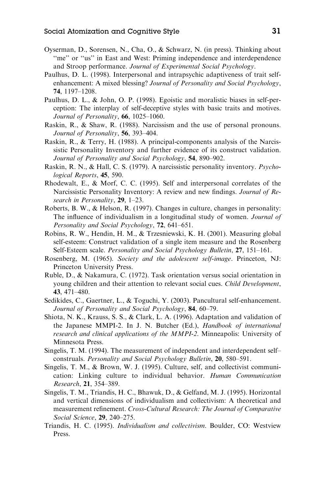### Social Atomization and Cognitive Style **31**

- Oyserman, D., Sorensen, N., Cha, O., & Schwarz, N. (in press). Thinking about "me" or "us" in East and West: Priming independence and interdependence and Stroop performance. Journal of Experimental Social Psychology.
- Paulhus, D. L. (1998). Interpersonal and intrapsychic adaptiveness of trait selfenhancement: A mixed blessing? Journal of Personality and Social Psychology, 74, 1197–1208.
- Paulhus, D. L., & John, O. P. (1998). Egoistic and moralistic biases in self-perception: The interplay of self-deceptive styles with basic traits and motives. Journal of Personality,  $66$ , 1025-1060.
- Raskin, R., & Shaw, R. (1988). Narcissism and the use of personal pronouns. Journal of Personality, 56, 393-404.
- Raskin, R., & Terry, H. (1988). A principal-components analysis of the Narcissistic Personality Inventory and further evidence of its construct validation. Journal of Personality and Social Psychology, 54, 890–902.
- Raskin, R. N., & Hall, C. S. (1979). A narcissistic personality inventory. Psychological Reports, 45, 590.
- Rhodewalt, E., & Morf, C. C. (1995). Self and interpersonal correlates of the Narcissistic Personality Inventory: A review and new findings. Journal of Research in Personality, 29, 1-23.
- Roberts, B. W., & Helson, R. (1997). Changes in culture, changes in personality: The influence of individualism in a longitudinal study of women. Journal of Personality and Social Psychology, 72, 641–651.
- Robins, R. W., Hendin, H. M., & Trzesniewski, K. H. (2001). Measuring global self-esteem: Construct validation of a single item measure and the Rosenberg Self-Esteem scale. Personality and Social Psychology Bulletin, 27, 151–161.
- Rosenberg, M. (1965). Society and the adolescent self-image. Princeton, NJ: Princeton University Press.
- Ruble, D., & Nakamura, C. (1972). Task orientation versus social orientation in young children and their attention to relevant social cues. Child Development, 43, 471–480.
- Sedikides, C., Gaertner, L., & Toguchi, Y. (2003). Pancultural self-enhancement. Journal of Personality and Social Psychology, 84, 60-79.
- Shiota, N. K., Krauss, S. S., & Clark, L. A. (1996). Adaptation and validation of the Japanese MMPI-2. In J. N. Butcher (Ed.), Handbook of international research and clinical applications of the MMPI-2. Minneapolis: University of Minnesota Press.
- Singelis, T. M. (1994). The measurement of independent and interdependent self– construals. Personality and Social Psychology Bulletin, 20, 580–591.
- Singelis, T. M., & Brown, W. J. (1995). Culture, self, and collectivist communication: Linking culture to individual behavior. Human Communication Research, 21, 354–389.
- Singelis, T. M., Triandis, H. C., Bhawuk, D., & Gelfand, M. J. (1995). Horizontal and vertical dimensions of individualism and collectivism: A theoretical and measurement refinement. Cross-Cultural Research: The Journal of Comparative Social Science, 29, 240–275.
- Triandis, H. C. (1995). Individualism and collectivism. Boulder, CO: Westview Press.